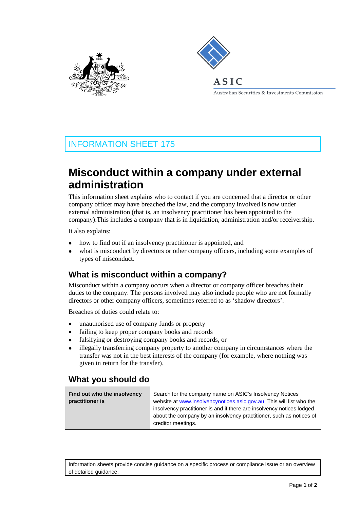



Australian Securities & Investments Commission

# INFORMATION SHEET 175

# **Misconduct within a company under external administration**

This information sheet explains who to contact if you are concerned that a director or other company officer may have breached the law, and the company involved is now under external administration (that is, an insolvency practitioner has been appointed to the company).This includes a company that is in liquidation, administration and/or receivership.

It also explains:

- $\bullet$ how to find out if an insolvency practitioner is appointed, and
- what is misconduct by directors or other company officers, including some examples of types of misconduct.

#### **What is misconduct within a company?**

Misconduct within a company occurs when a director or company officer breaches their duties to the company. The persons involved may also include people who are not formally directors or other company officers, sometimes referred to as 'shadow directors'.

Breaches of duties could relate to:

- unauthorised use of company funds or property
- failing to keep proper company books and records
- falsifying or destroying company books and records, or
- illegally transferring company property to another company in circumstances where the transfer was not in the best interests of the company (for example, where nothing was given in return for the transfer).

### **What you should do**

| Find out who the insolvency | Search for the company name on ASIC's Insolvency Notices              |
|-----------------------------|-----------------------------------------------------------------------|
| practitioner is             | website at www.insolvencynotices.asic.gov.au. This will list who the  |
|                             | insolvency practitioner is and if there are insolvency notices lodged |
|                             | about the company by an insolvency practitioner, such as notices of   |
|                             | creditor meetings.                                                    |

Information sheets provide concise guidance on a specific process or compliance issue or an overview of detailed guidance.